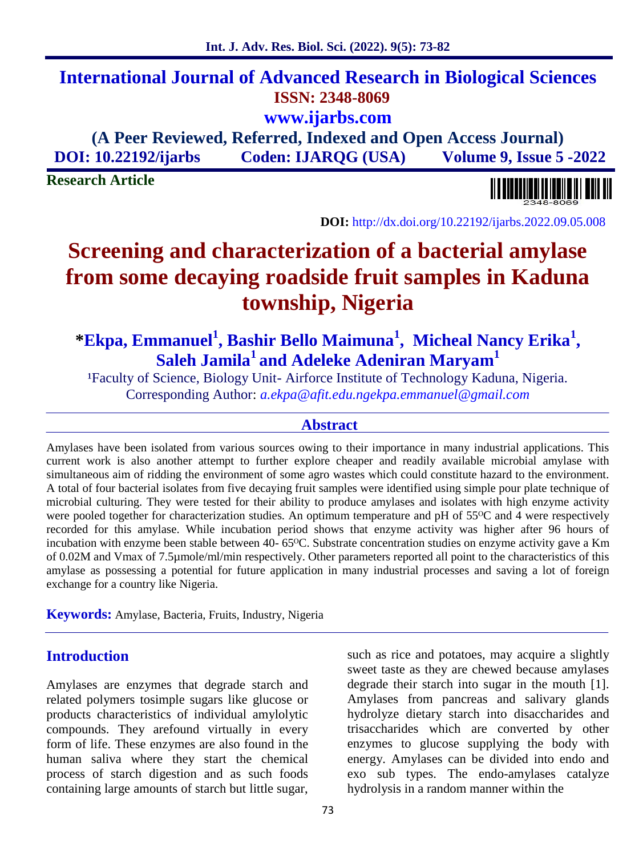## **International Journal of Advanced Research in Biological Sciences ISSN: 2348-8069 www.ijarbs.com**

**(A Peer Reviewed, Referred, Indexed and Open Access Journal) DOI: 10.22192/ijarbs Coden: IJARQG (USA) Volume 9, Issue 5 -2022**

**Research Article**



**DOI:** http://dx.doi.org/10.22192/ijarbs.2022.09.05.008

# **Screening and characterization of a bacterial amylase from some decaying roadside fruit samples in Kaduna township, Nigeria**

**\*Ekpa, Emmanuel<sup>1</sup> , Bashir Bello Maimuna<sup>1</sup> , Micheal Nancy Erika<sup>1</sup> , Saleh Jamila<sup>1</sup> and Adeleke Adeniran Maryam<sup>1</sup>**

<sup>1</sup>Faculty of Science, Biology Unit- Airforce Institute of Technology Kaduna, Nigeria. Corresponding Author: *a.ekpa@afit.edu.ngekpa.emmanuel@gmail.com*

#### **Abstract**

Amylases have been isolated from various sources owing to their importance in many industrial applications. This current work is also another attempt to further explore cheaper and readily available microbial amylase with simultaneous aim of ridding the environment of some agro wastes which could constitute hazard to the environment. A total of four bacterial isolates from five decaying fruit samples were identified using simple pour plate technique of microbial culturing. They were tested for their ability to produce amylases and isolates with high enzyme activity were pooled together for characterization studies. An optimum temperature and pH of 55<sup>o</sup>C and 4 were respectively recorded for this amylase. While incubation period shows that enzyme activity was higher after 96 hours of incubation with enzyme been stable between 40- 65<sup>o</sup>C. Substrate concentration studies on enzyme activity gave a Km of 0.02M and Vmax of 7.5µmole/ml/min respectively. Other parameters reported all point to the characteristics of this amylase as possessing a potential for future application in many industrial processes and saving a lot of foreign exchange for a country like Nigeria.

**Keywords:** Amylase, Bacteria, Fruits, Industry, Nigeria

## **Introduction**

Amylases are enzymes that degrade starch and related polymers tosimple sugars like glucose or products characteristics of individual amylolytic compounds. They arefound virtually in every form of life. These enzymes are also found in the human saliva where they start the chemical process of starch digestion and as such foods containing large amounts of starch but little sugar,

such as rice and potatoes, may acquire a slightly sweet taste as they are chewed because amylases degrade their starch into sugar in the mouth [1]. Amylases from pancreas and salivary glands hydrolyze dietary starch into disaccharides and trisaccharides which are converted by other enzymes to glucose supplying the body with energy. Amylases can be divided into endo and exo sub types. The endo-amylases catalyze hydrolysis in a random manner within the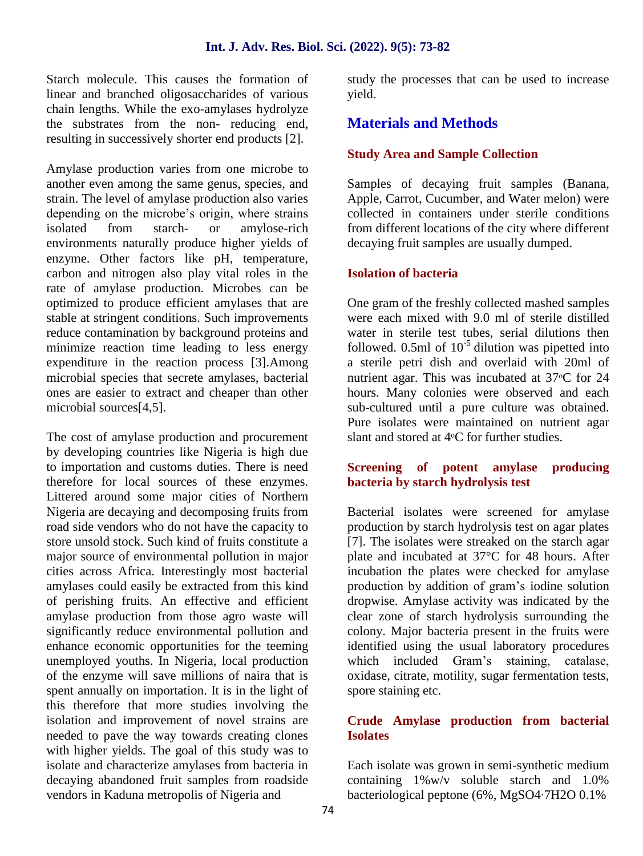Starch molecule. This causes the formation of linear and branched oligosaccharides of various chain lengths. While the exo-amylases hydrolyze the substrates from the non- reducing end, resulting in successively shorter end products [2].

Amylase production varies from one microbe to another even among the same genus, species, and strain. The level of amylase production also varies depending on the microbe's origin, where strains isolated from starch- or amylose-rich environments naturally produce higher yields of enzyme. Other factors like pH, temperature, carbon and nitrogen also play vital roles in the rate of amylase production. Microbes can be optimized to produce efficient amylases that are stable at stringent conditions. Such improvements reduce contamination by background proteins and minimize reaction time leading to less energy expenditure in the reaction process [3].Among microbial species that secrete amylases, bacterial ones are easier to extract and cheaper than other microbial sources<sup>[4,5]</sup>.

The cost of amylase production and procurement by developing countries like Nigeria is high due to importation and customs duties. There is need therefore for local sources of these enzymes. Littered around some major cities of Northern Nigeria are decaying and decomposing fruits from road side vendors who do not have the capacity to store unsold stock. Such kind of fruits constitute a major source of environmental pollution in major cities across Africa. Interestingly most bacterial amylases could easily be extracted from this kind of perishing fruits. An effective and efficient amylase production from those agro waste will significantly reduce environmental pollution and enhance economic opportunities for the teeming unemployed youths. In Nigeria, local production of the enzyme will save millions of naira that is spent annually on importation. It is in the light of this therefore that more studies involving the isolation and improvement of novel strains are needed to pave the way towards creating clones with higher yields. The goal of this study was to isolate and characterize amylases from bacteria in decaying abandoned fruit samples from roadside vendors in Kaduna metropolis of Nigeria and

study the processes that can be used to increase yield.

## **Materials and Methods**

#### **Study Area and Sample Collection**

Samples of decaying fruit samples (Banana, Apple, Carrot, Cucumber, and Water melon) were collected in containers under sterile conditions from different locations of the city where different decaying fruit samples are usually dumped.

#### **Isolation of bacteria**

One gram of the freshly collected mashed samples were each mixed with 9.0 ml of sterile distilled water in sterile test tubes, serial dilutions then followed.  $0.5$ ml of  $10^{-5}$  dilution was pipetted into a sterile petri dish and overlaid with 20ml of nutrient agar. This was incubated at 37 °C for 24 hours. Many colonies were observed and each sub-cultured until a pure culture was obtained. Pure isolates were maintained on nutrient agar slant and stored at  $4$ <sup>o</sup>C for further studies.

#### **Screening of potent amylase producing bacteria by starch hydrolysis test**

Bacterial isolates were screened for amylase production by starch hydrolysis test on agar plates [7]. The isolates were streaked on the starch agar plate and incubated at 37°C for 48 hours. After incubation the plates were checked for amylase production by addition of gram's iodine solution dropwise. Amylase activity was indicated by the clear zone of starch hydrolysis surrounding the colony. Major bacteria present in the fruits were identified using the usual laboratory procedures which included Gram's staining, catalase, oxidase, citrate, motility, sugar fermentation tests, spore staining etc.

#### **Crude Amylase production from bacterial Isolates**

Each isolate was grown in semi-synthetic medium containing 1%w/v soluble starch and 1.0% bacteriological peptone (6%, MgSO4∙7H2O 0.1%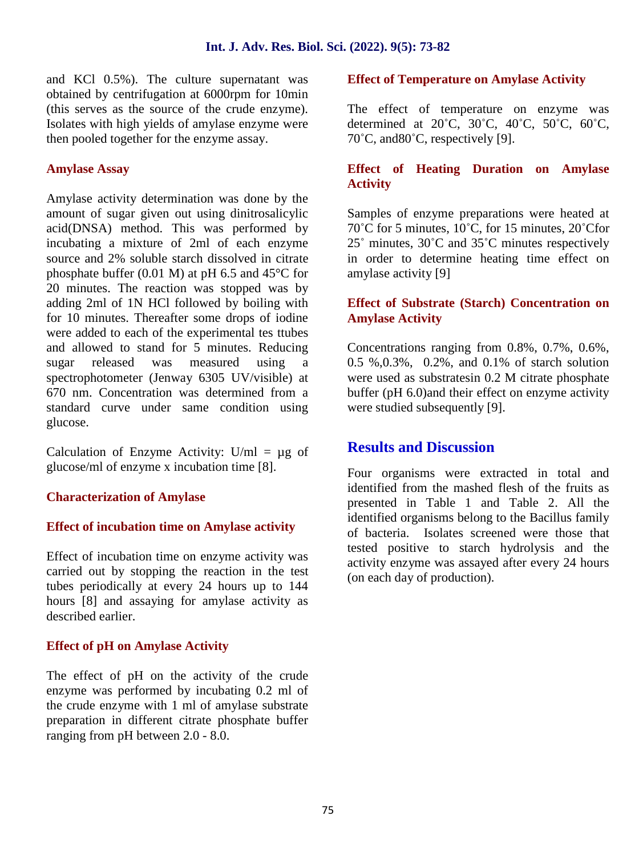and KCl 0.5%). The culture supernatant was obtained by centrifugation at 6000rpm for 10min (this serves as the source of the crude enzyme). Isolates with high yields of amylase enzyme were then pooled together for the enzyme assay.

#### **Amylase Assay**

Amylase activity determination was done by the amount of sugar given out using dinitrosalicylic acid(DNSA) method. This was performed by incubating a mixture of 2ml of each enzyme source and 2% soluble starch dissolved in citrate phosphate buffer (0.01 M) at pH 6.5 and 45°C for 20 minutes. The reaction was stopped was by adding 2ml of 1N HCl followed by boiling with for 10 minutes. Thereafter some drops of iodine were added to each of the experimental tes ttubes and allowed to stand for 5 minutes. Reducing sugar released was measured using a spectrophotometer (Jenway 6305 UV/visible) at 670 nm. Concentration was determined from a standard curve under same condition using glucose.

Calculation of Enzyme Activity:  $U/ml = \mu g$  of glucose/ml of enzyme x incubation time [8].

#### **Characterization of Amylase**

#### **Effect of incubation time on Amylase activity**

Effect of incubation time on enzyme activity was carried out by stopping the reaction in the test tubes periodically at every 24 hours up to 144 hours [8] and assaying for amylase activity as described earlier.

#### **Effect of pH on Amylase Activity**

The effect of pH on the activity of the crude enzyme was performed by incubating 0.2 ml of the crude enzyme with 1 ml of amylase substrate preparation in different citrate phosphate buffer ranging from pH between 2.0 - 8.0.

#### **Effect of Temperature on Amylase Activity**

The effect of temperature on enzyme was determined at  $20^{\circ}$ C,  $30^{\circ}$ C,  $40^{\circ}$ C,  $50^{\circ}$ C,  $60^{\circ}$ C, 70˚C, and80˚C, respectively [9].

#### **Effect of Heating Duration on Amylase Activity**

Samples of enzyme preparations were heated at 70˚C for 5 minutes, 10˚C, for 15 minutes, 20˚Cfor 25˚ minutes, 30˚C and 35˚C minutes respectively in order to determine heating time effect on amylase activity [9]

#### **Effect of Substrate (Starch) Concentration on Amylase Activity**

Concentrations ranging from 0.8%, 0.7%, 0.6%, 0.5 %,0.3%, 0.2%, and 0.1% of starch solution were used as substratesin 0.2 M citrate phosphate buffer (pH 6.0)and their effect on enzyme activity were studied subsequently [9].

## **Results and Discussion**

Four organisms were extracted in total and identified from the mashed flesh of the fruits as presented in Table 1 and Table 2. All the identified organisms belong to the Bacillus family of bacteria. Isolates screened were those that tested positive to starch hydrolysis and the activity enzyme was assayed after every 24 hours (on each day of production).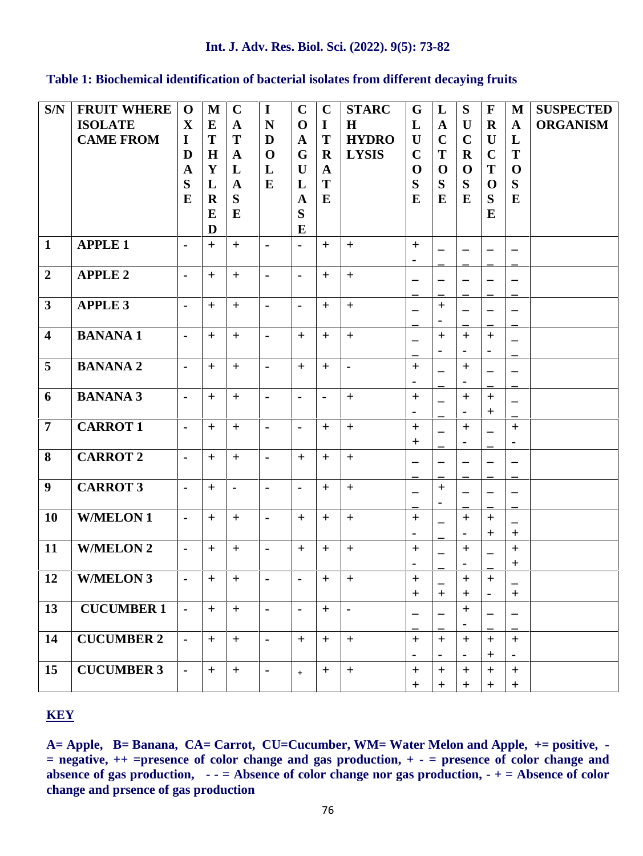#### **Int. J. Adv. Res. Biol. Sci. (2022). 9(5): 73-82**

**Table 1: Biochemical identification of bacterial isolates from different decaying fruits**

| S/N                     | <b>FRUIT WHERE</b><br><b>ISOLATE</b><br><b>CAME FROM</b> | $\mathbf 0$<br>$\mathbf X$<br>$\bf{I}$<br>D | M<br>$\bf{E}$<br>T<br>H                | $\mathbf C$<br>$\mathbf{A}$<br>T<br>$\mathbf{A}$ | $\mathbf I$<br>${\bf N}$<br>D<br>$\mathbf 0$ | $\mathbf C$<br>$\mathbf 0$<br>$\mathbf A$<br>G | $\mathbf C$<br>$\mathbf I$<br>T<br>$\mathbf R$ | <b>STARC</b><br>H<br><b>HYDRO</b><br><b>LYSIS</b> | G<br>L<br>U<br>$\mathbf C$         | L<br>$\mathbf A$<br>$\mathbf C$<br>T | S<br>$\mathbf U$<br>$\mathbf C$<br>$\bf{R}$ | $\mathbf{F}$<br>$\mathbf R$<br>$\mathbf U$<br>$\mathbf C$ | $\mathbf{M}$<br>$\mathbf A$<br>L<br>T                             | <b>SUSPECTED</b><br><b>ORGANISM</b> |
|-------------------------|----------------------------------------------------------|---------------------------------------------|----------------------------------------|--------------------------------------------------|----------------------------------------------|------------------------------------------------|------------------------------------------------|---------------------------------------------------|------------------------------------|--------------------------------------|---------------------------------------------|-----------------------------------------------------------|-------------------------------------------------------------------|-------------------------------------|
|                         |                                                          | $\mathbf A$<br>S<br>E                       | Y<br>L<br>$\mathbf R$<br>$\bf{E}$<br>D | L<br>$\mathbf A$<br>S<br>$\bf{E}$                | L<br>$\bf{E}$                                | U<br>L<br>$\mathbf A$<br>S<br>E                | $\mathbf{A}$<br>T<br>$\bf{E}$                  |                                                   | $\mathbf 0$<br>S<br>$\bf{E}$       | $\mathbf 0$<br>S<br>$\bf{E}$         | $\mathbf 0$<br>S<br>E                       | T<br>$\mathbf 0$<br>S<br>E                                | $\mathbf 0$<br>S<br>$\bf{E}$                                      |                                     |
| $\mathbf{1}$            | <b>APPLE 1</b>                                           | $\blacksquare$                              | $+$                                    | $+$                                              | $\blacksquare$                               | $\blacksquare$                                 | $+$                                            | $+$                                               | $+$<br>$\blacksquare$              | $\qquad \qquad -$                    | $\qquad \qquad -$                           | $\overline{\phantom{0}}$                                  | $\overline{\phantom{m}}$                                          |                                     |
| $\overline{2}$          | <b>APPLE 2</b>                                           | $\blacksquare$                              | $+$                                    | $+$                                              | $\blacksquare$                               | $\blacksquare$                                 | $+$                                            | $+$                                               | -                                  |                                      | -                                           |                                                           |                                                                   |                                     |
| $\mathbf{3}$            | <b>APPLE 3</b>                                           | $\blacksquare$                              | $+$                                    | $+$                                              | $\blacksquare$                               | $\blacksquare$                                 | $+$                                            | $+$                                               | $\overline{\phantom{0}}$           | $\pm$<br>$\blacksquare$              | $\overline{\phantom{0}}$                    | -                                                         | $\qquad \qquad -$                                                 |                                     |
| $\overline{\mathbf{4}}$ | <b>BANANA1</b>                                           | $\blacksquare$                              | $\ddot{}$                              | $+$                                              | $\blacksquare$                               | $+$                                            | $+$                                            | $+$                                               | $\qquad \qquad -$                  | $\ddot{}$                            | $+$<br>$\blacksquare$                       | $+$<br>$\blacksquare$                                     | $\qquad \qquad -$                                                 |                                     |
| 5                       | <b>BANANA 2</b>                                          | $\blacksquare$                              | $+$                                    | $+$                                              | $\blacksquare$                               | $+$                                            | $+$                                            | $\blacksquare$                                    | $+$<br>$\blacksquare$              |                                      | $+$<br>$\blacksquare$                       | -                                                         | $\qquad \qquad -$                                                 |                                     |
| 6                       | <b>BANANA 3</b>                                          | $\blacksquare$                              | $+$                                    | $+$                                              | $\blacksquare$                               | $\blacksquare$                                 | $\blacksquare$                                 | $+$                                               | $+$<br>$\blacksquare$              |                                      | $+$<br>$\blacksquare$                       | $\pm$<br>$+$                                              | $\overline{\phantom{0}}$                                          |                                     |
| $\overline{7}$          | <b>CARROT 1</b>                                          | $\blacksquare$                              | $\pm$                                  | $+$                                              | $\blacksquare$                               | $\blacksquare$                                 | $\ddot{}$                                      | $+$                                               | $+$<br>$\ddot{}$                   |                                      | $\ddot{}$<br>$\blacksquare$                 | -                                                         | $+$<br>$\blacksquare$                                             |                                     |
| 8                       | <b>CARROT 2</b>                                          | $\blacksquare$                              | $+$                                    | $+$                                              | $\blacksquare$                               | $+$                                            | $+$                                            | $+$                                               | —                                  | -                                    | —                                           |                                                           | $\qquad \qquad -$                                                 |                                     |
| $\boldsymbol{9}$        | <b>CARROT 3</b>                                          | $\blacksquare$                              | $+$                                    | $\blacksquare$                                   | $\blacksquare$                               | $\blacksquare$                                 | $+$                                            | $+$                                               | —                                  | $\ddot{}$<br>$\blacksquare$          | $\overline{\phantom{0}}$                    | -                                                         | —<br>$\qquad \qquad -$                                            |                                     |
| <b>10</b>               | <b>W/MELON1</b>                                          | $\blacksquare$                              | $+$                                    | $+$                                              | $\blacksquare$                               | $+$                                            | $\boldsymbol{+}$                               | $+$                                               | $\boldsymbol{+}$<br>$\blacksquare$ | —                                    | $\ddot{}$<br>$\blacksquare$                 | $\pm$<br>$\pm$                                            | $\qquad \qquad -$<br>$\overline{\phantom{m}}$<br>$\boldsymbol{+}$ |                                     |
| 11                      | <b>W/MELON 2</b>                                         | $\blacksquare$                              | $+$                                    | $+$                                              | $\blacksquare$                               | $+$                                            | $+$                                            | $+$                                               | $+$<br>$\blacksquare$              |                                      | $\pm$<br>$\blacksquare$                     |                                                           | $\boldsymbol{+}$<br>$\boldsymbol{+}$                              |                                     |
| 12                      | <b>W/MELON 3</b>                                         | $\blacksquare$                              | $+$                                    | $\boldsymbol{+}$                                 | $\blacksquare$                               | $\blacksquare$                                 | $\boldsymbol{+}$                               | $+$                                               | $+$<br>$\pm$                       | $+$                                  | $+$<br>$\ddot{}$                            | $+$<br>$\blacksquare$                                     | $\boldsymbol{+}$                                                  |                                     |
| 13                      | <b>CUCUMBER 1</b>                                        | $\blacksquare$                              | $+$                                    | $+$                                              | $\blacksquare$                               | $\blacksquare$                                 | $+$                                            | $\blacksquare$                                    | $\qquad \qquad -$                  |                                      | $+$                                         | $\overline{\phantom{0}}$                                  | $\qquad \qquad -$                                                 |                                     |
| 14                      | <b>CUCUMBER 2</b>                                        | $\blacksquare$                              | $+$                                    | $+$                                              | $\blacksquare$                               | $+$                                            | $+$                                            | $+$                                               | $+$                                | $+$                                  | $+$                                         | $+$                                                       | $+$                                                               |                                     |
| 15                      | <b>CUCUMBER 3</b>                                        | $\blacksquare$                              | $+$                                    | $\pm$                                            | $\blacksquare$                               | $+$                                            | $\boldsymbol{+}$                               | $+$                                               | $\blacksquare$<br>$\boldsymbol{+}$ | $+$                                  | $\blacksquare$<br>$\boldsymbol{+}$          | $+$<br>$\! + \!$                                          | $\blacksquare$<br>$\boldsymbol{+}$                                |                                     |
|                         |                                                          |                                             |                                        |                                                  |                                              |                                                |                                                |                                                   | $\boldsymbol{+}$                   | $\pm$                                | $\ddot{}$                                   | $\ddot{}$                                                 | $\boldsymbol{+}$                                                  |                                     |

## **KEY**

**A= Apple, B= Banana, CA= Carrot, CU=Cucumber, WM= Water Melon and Apple, += positive, - = negative, ++ =presence of color change and gas production, + - = presence of color change and absence of gas production, - - = Absence of color change nor gas production, - + = Absence of color change and prsence of gas production**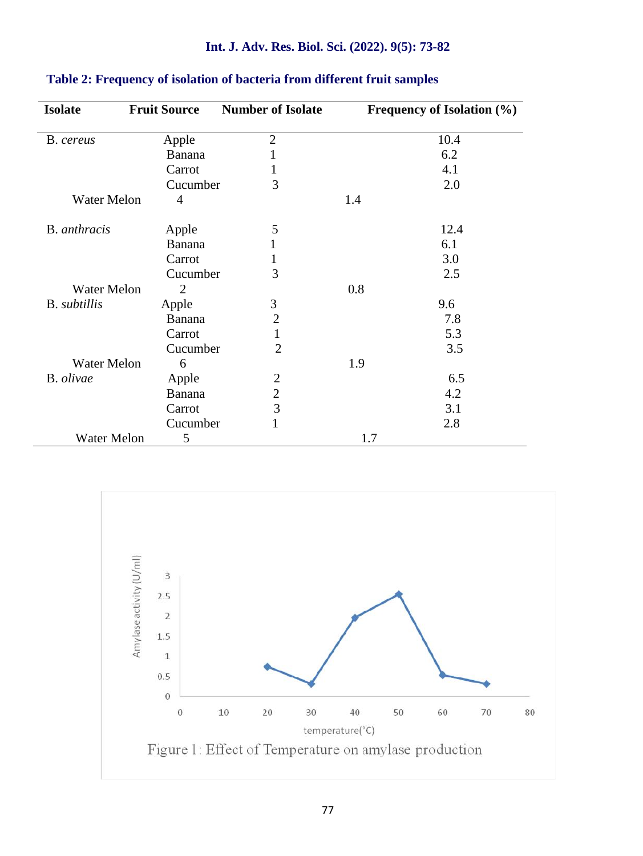| <b>Isolate</b>       | <b>Fruit Source</b> | <b>Number of Isolate</b> | Frequency of Isolation (%) |
|----------------------|---------------------|--------------------------|----------------------------|
| B. cereus            | Apple               | $\overline{2}$           | 10.4                       |
|                      | Banana              | 1                        | 6.2                        |
|                      | Carrot              | 1                        | 4.1                        |
|                      | Cucumber            | 3                        | 2.0                        |
| <b>Water Melon</b>   | 4                   |                          | 1.4                        |
| <b>B</b> . anthracis | Apple               | 5                        | 12.4                       |
|                      | <b>Banana</b>       | 1                        | 6.1                        |
|                      | Carrot              | 1                        | 3.0                        |
|                      | Cucumber            | 3                        | 2.5                        |
| <b>Water Melon</b>   | $\overline{2}$      |                          | 0.8                        |
| B. subtillis         | Apple               | 3                        | 9.6                        |
|                      | <b>Banana</b>       | $\overline{2}$           | 7.8                        |
|                      | Carrot              | $\mathbf{1}$             | 5.3                        |
|                      | Cucumber            | $\overline{2}$           | 3.5                        |
| <b>Water Melon</b>   | 6                   |                          | 1.9                        |
| B. olivae            | Apple               | $\overline{2}$           | 6.5                        |
|                      | <b>Banana</b>       | $\overline{2}$           | 4.2                        |
|                      | Carrot              | 3                        | 3.1                        |
|                      | Cucumber            | 1                        | 2.8                        |
| <b>Water Melon</b>   | 5                   |                          | 1.7                        |

## **Int. J. Adv. Res. Biol. Sci. (2022). 9(5): 73-82**



#### **Table 2: Frequency of isolation of bacteria from different fruit samples**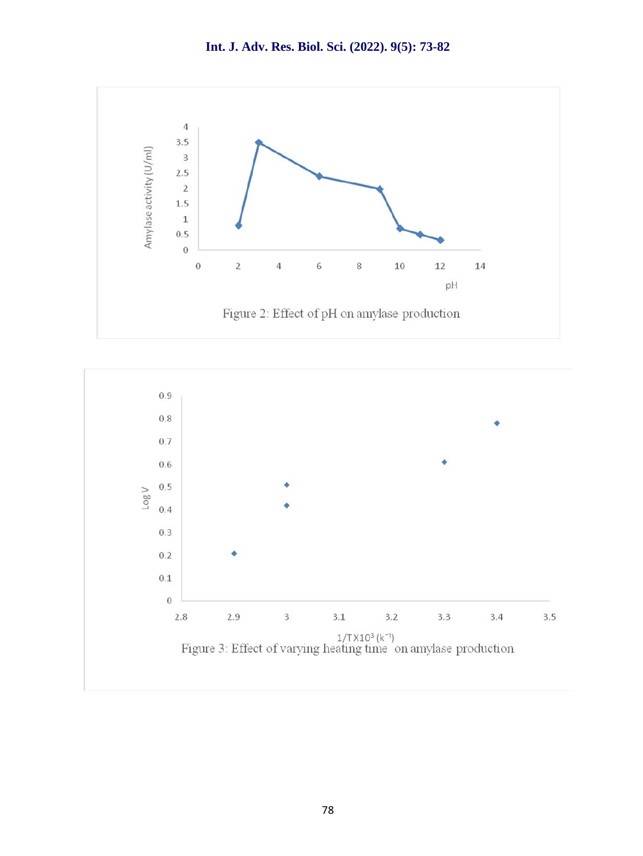**Int. J. Adv. Res. Biol. Sci. (2022). 9(5): 73-82**



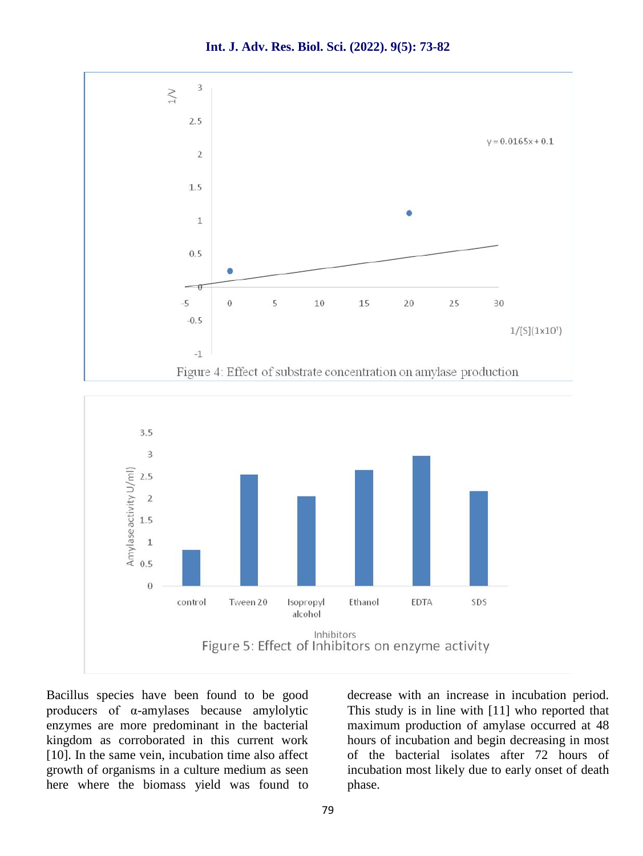





Bacillus species have been found to be good producers of α-amylases because amylolytic enzymes are more predominant in the bacterial kingdom as corroborated in this current work [10]. In the same vein, incubation time also affect growth of organisms in a culture medium as seen here where the biomass yield was found to

decrease with an increase in incubation period. This study is in line with [11] who reported that maximum production of amylase occurred at 48 hours of incubation and begin decreasing in most of the bacterial isolates after 72 hours of incubation most likely due to early onset of death phase.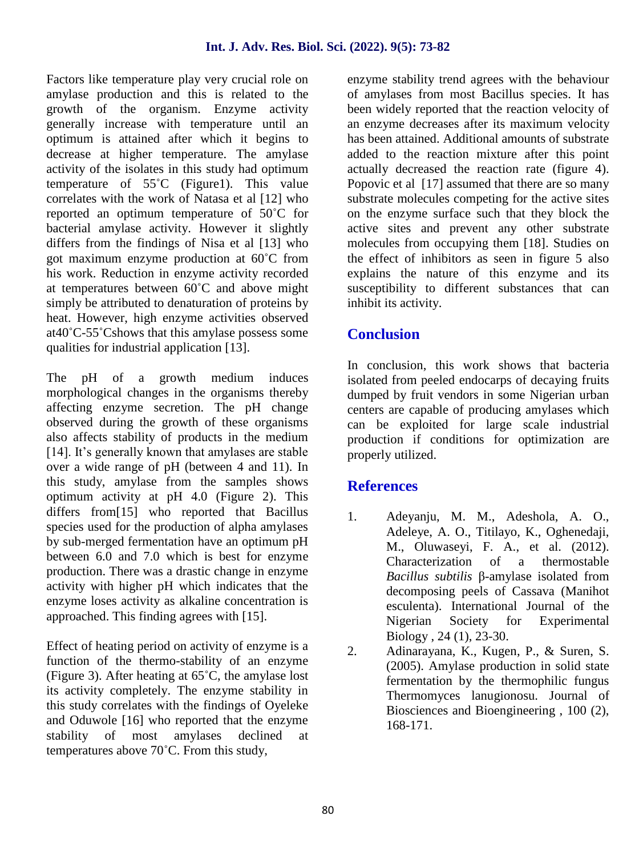Factors like temperature play very crucial role on amylase production and this is related to the growth of the organism. Enzyme activity generally increase with temperature until an optimum is attained after which it begins to decrease at higher temperature. The amylase activity of the isolates in this study had optimum temperature of 55˚C (Figure1). This value correlates with the work of Natasa et al [12] who reported an optimum temperature of 50˚C for bacterial amylase activity. However it slightly differs from the findings of Nisa et al [13] who got maximum enzyme production at 60˚C from his work. Reduction in enzyme activity recorded at temperatures between 60˚C and above might simply be attributed to denaturation of proteins by heat. However, high enzyme activities observed at40˚C-55˚Cshows that this amylase possess some qualities for industrial application [13].

The pH of a growth medium induces morphological changes in the organisms thereby affecting enzyme secretion. The pH change observed during the growth of these organisms also affects stability of products in the medium [14]. It's generally known that amylases are stable over a wide range of pH (between 4 and 11). In this study, amylase from the samples shows optimum activity at pH 4.0 (Figure 2). This differs from [15] who reported that Bacillus species used for the production of alpha amylases by sub-merged fermentation have an optimum pH between 6.0 and 7.0 which is best for enzyme production. There was a drastic change in enzyme activity with higher pH which indicates that the enzyme loses activity as alkaline concentration is approached. This finding agrees with [15].

Effect of heating period on activity of enzyme is a  $\overline{a}$ function of the thermo-stability of an enzyme (Figure 3). After heating at 65˚C, the amylase lost its activity completely. The enzyme stability in this study correlates with the findings of Oyeleke and Oduwole [16] who reported that the enzyme stability of most amylases declined at temperatures above 70˚C. From this study,

enzyme stability trend agrees with the behaviour of amylases from most Bacillus species. It has been widely reported that the reaction velocity of an enzyme decreases after its maximum velocity has been attained. Additional amounts of substrate added to the reaction mixture after this point actually decreased the reaction rate (figure 4). Popovic et al [17] assumed that there are so many substrate molecules competing for the active sites on the enzyme surface such that they block the active sites and prevent any other substrate molecules from occupying them [18]. Studies on the effect of inhibitors as seen in figure 5 also explains the nature of this enzyme and its susceptibility to different substances that can inhibit its activity.

## **Conclusion**

In conclusion, this work shows that bacteria isolated from peeled endocarps of decaying fruits dumped by fruit vendors in some Nigerian urban centers are capable of producing amylases which can be exploited for large scale industrial production if conditions for optimization are properly utilized.

## **References**

- 1. Adeyanju, M. M., Adeshola, A. O., Adeleye, A. O., Titilayo, K., Oghenedaji, M., Oluwaseyi, F. A., et al. (2012). Characterization of a thermostable *Bacillus subtilis* β-amylase isolated from decomposing peels of Cassava (Manihot esculenta). International Journal of the Nigerian Society for Experimental Biology , 24 (1), 23-30.
- 2. Adinarayana, K., Kugen, P., & Suren, S. (2005). Amylase production in solid state fermentation by the thermophilic fungus Thermomyces lanugionosu. Journal of Biosciences and Bioengineering , 100 (2), 168-171.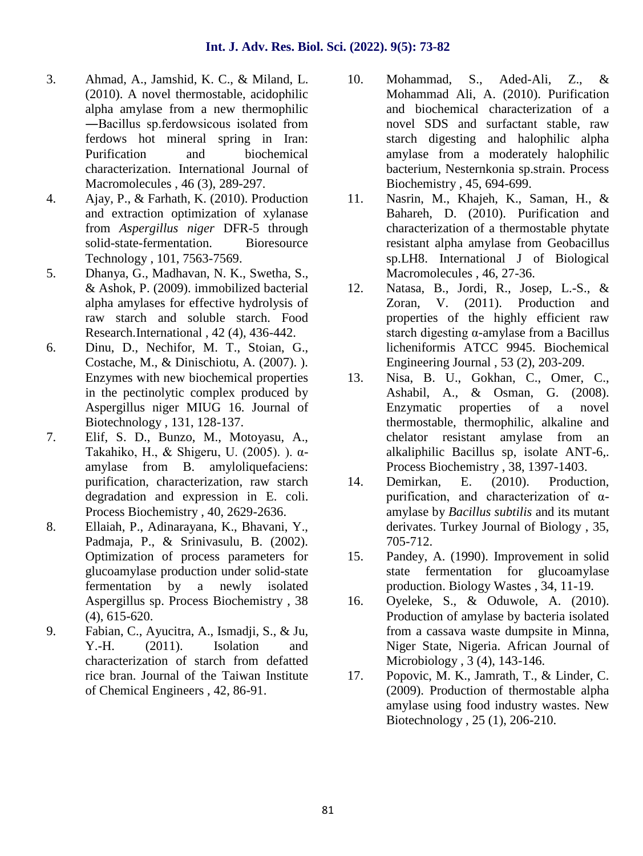- 3. Ahmad, A., Jamshid, K. C., & Miland, L. (2010). A novel thermostable, acidophilic alpha amylase from a new thermophilic ―Bacillus sp.ferdowsicous isolated from ferdows hot mineral spring in Iran: Purification and biochemical characterization. International Journal of Macromolecules , 46 (3), 289-297.
- 4. Ajay, P., & Farhath, K. (2010). Production and extraction optimization of xylanase from *Aspergillus niger* DFR-5 through solid-state-fermentation. Bioresource Technology , 101, 7563-7569.
- 5. Dhanya, G., Madhavan, N. K., Swetha, S., & Ashok, P. (2009). immobilized bacterial alpha amylases for effective hydrolysis of raw starch and soluble starch. Food Research.International , 42 (4), 436-442.
- 6. Dinu, D., Nechifor, M. T., Stoian, G., Costache, M., & Dinischiotu, A. (2007). ). Enzymes with new biochemical properties in the pectinolytic complex produced by Aspergillus niger MIUG 16. Journal of Biotechnology , 131, 128-137.
- 7. Elif, S. D., Bunzo, M., Motoyasu, A., Takahiko, H., & Shigeru, U. (2005). ). α amylase from B. amyloliquefaciens: purification, characterization, raw starch 14. degradation and expression in E. coli. Process Biochemistry , 40, 2629-2636.
- 8. Ellaiah, P., Adinarayana, K., Bhavani, Y., Padmaja, P., & Srinivasulu, B. (2002). Optimization of process parameters for glucoamylase production under solid-state fermentation by a newly isolated Aspergillus sp. Process Biochemistry , 38 (4), 615-620.
- 9. Fabian, C., Ayucitra, A., Ismadji, S., & Ju, Y.-H. (2011). Isolation and characterization of starch from defatted rice bran. Journal of the Taiwan Institute of Chemical Engineers , 42, 86-91.
- 10. Mohammad, S., Aded-Ali, Z., & Mohammad Ali, A. (2010). Purification and biochemical characterization of a novel SDS and surfactant stable, raw starch digesting and halophilic alpha amylase from a moderately halophilic bacterium, Nesternkonia sp.strain. Process Biochemistry , 45, 694-699.
- Nasrin, M., Khajeh, K., Saman, H., & Bahareh, D. (2010). Purification and characterization of a thermostable phytate resistant alpha amylase from Geobacillus sp.LH8. International J of Biological Macromolecules , 46, 27-36.
- 12. Natasa, B., Jordi, R., Josep, L.-S., & Zoran, V. (2011). Production and properties of the highly efficient raw starch digesting α-amylase from a Bacillus licheniformis ATCC 9945. Biochemical Engineering Journal , 53 (2), 203-209.
- 13. Nisa, B. U., Gokhan, C., Omer, C., Ashabil, A., & Osman, G. (2008). Enzymatic properties of a novel thermostable, thermophilic, alkaline and chelator resistant amylase from an alkaliphilic Bacillus sp, isolate ANT-6,. Process Biochemistry , 38, 1397-1403.
- Demirkan, E. (2010). Production, purification, and characterization of  $\alpha$ amylase by *Bacillus subtilis* and its mutant derivates. Turkey Journal of Biology , 35, 705-712.
- 15. Pandey, A. (1990). Improvement in solid state fermentation for glucoamylase production. Biology Wastes , 34, 11-19.
- Oyeleke, S., & Oduwole, A. (2010). Production of amylase by bacteria isolated from a cassava waste dumpsite in Minna, Niger State, Nigeria. African Journal of Microbiology , 3 (4), 143-146.
- 17. Popovic, M. K., Jamrath, T., & Linder, C. (2009). Production of thermostable alpha amylase using food industry wastes. New Biotechnology , 25 (1), 206-210.